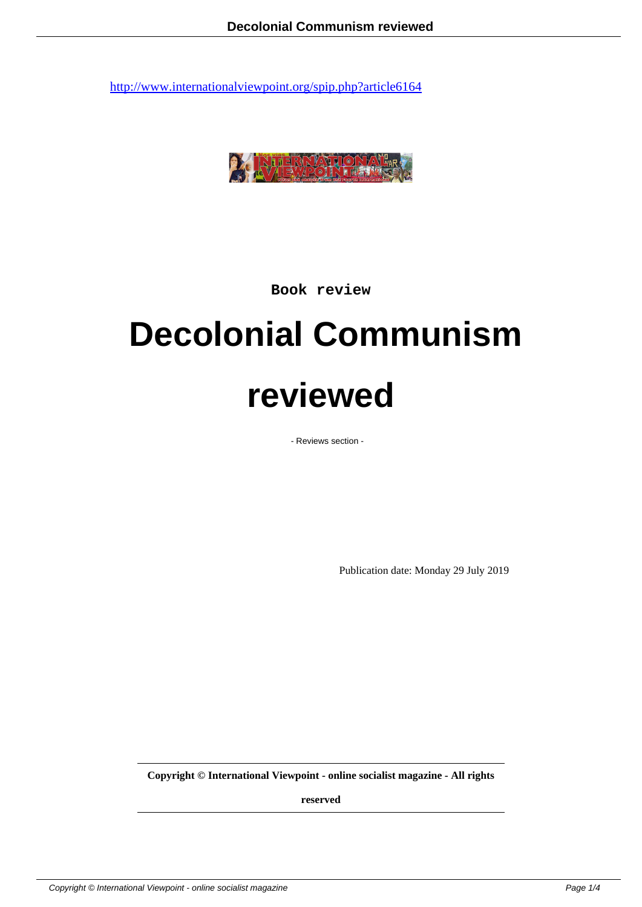

**Book review**

## **Decolonial Communism reviewed**

- Reviews section -

Publication date: Monday 29 July 2019

**Copyright © International Viewpoint - online socialist magazine - All rights**

**reserved**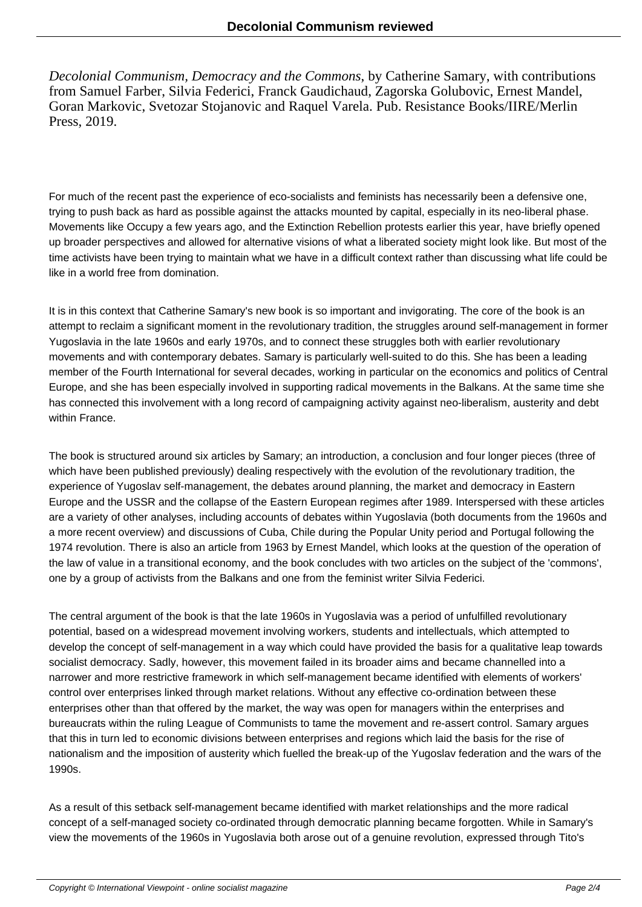*Decolonial Communism, Democracy and the Commons*, by Catherine Samary, with contributions from Samuel Farber, Silvia Federici, Franck Gaudichaud, Zagorska Golubovic, Ernest Mandel, Goran Markovic, Svetozar Stojanovic and Raquel Varela. Pub. Resistance Books/IIRE/Merlin Press, 2019.

For much of the recent past the experience of eco-socialists and feminists has necessarily been a defensive one, trying to push back as hard as possible against the attacks mounted by capital, especially in its neo-liberal phase. Movements like Occupy a few years ago, and the Extinction Rebellion protests earlier this year, have briefly opened up broader perspectives and allowed for alternative visions of what a liberated society might look like. But most of the time activists have been trying to maintain what we have in a difficult context rather than discussing what life could be like in a world free from domination.

It is in this context that Catherine Samary's new book is so important and invigorating. The core of the book is an attempt to reclaim a significant moment in the revolutionary tradition, the struggles around self-management in former Yugoslavia in the late 1960s and early 1970s, and to connect these struggles both with earlier revolutionary movements and with contemporary debates. Samary is particularly well-suited to do this. She has been a leading member of the Fourth International for several decades, working in particular on the economics and politics of Central Europe, and she has been especially involved in supporting radical movements in the Balkans. At the same time she has connected this involvement with a long record of campaigning activity against neo-liberalism, austerity and debt within France.

The book is structured around six articles by Samary; an introduction, a conclusion and four longer pieces (three of which have been published previously) dealing respectively with the evolution of the revolutionary tradition, the experience of Yugoslav self-management, the debates around planning, the market and democracy in Eastern Europe and the USSR and the collapse of the Eastern European regimes after 1989. Interspersed with these articles are a variety of other analyses, including accounts of debates within Yugoslavia (both documents from the 1960s and a more recent overview) and discussions of Cuba, Chile during the Popular Unity period and Portugal following the 1974 revolution. There is also an article from 1963 by Ernest Mandel, which looks at the question of the operation of the law of value in a transitional economy, and the book concludes with two articles on the subject of the 'commons', one by a group of activists from the Balkans and one from the feminist writer Silvia Federici.

The central argument of the book is that the late 1960s in Yugoslavia was a period of unfulfilled revolutionary potential, based on a widespread movement involving workers, students and intellectuals, which attempted to develop the concept of self-management in a way which could have provided the basis for a qualitative leap towards socialist democracy. Sadly, however, this movement failed in its broader aims and became channelled into a narrower and more restrictive framework in which self-management became identified with elements of workers' control over enterprises linked through market relations. Without any effective co-ordination between these enterprises other than that offered by the market, the way was open for managers within the enterprises and bureaucrats within the ruling League of Communists to tame the movement and re-assert control. Samary argues that this in turn led to economic divisions between enterprises and regions which laid the basis for the rise of nationalism and the imposition of austerity which fuelled the break-up of the Yugoslav federation and the wars of the 1990s.

As a result of this setback self-management became identified with market relationships and the more radical concept of a self-managed society co-ordinated through democratic planning became forgotten. While in Samary's view the movements of the 1960s in Yugoslavia both arose out of a genuine revolution, expressed through Tito's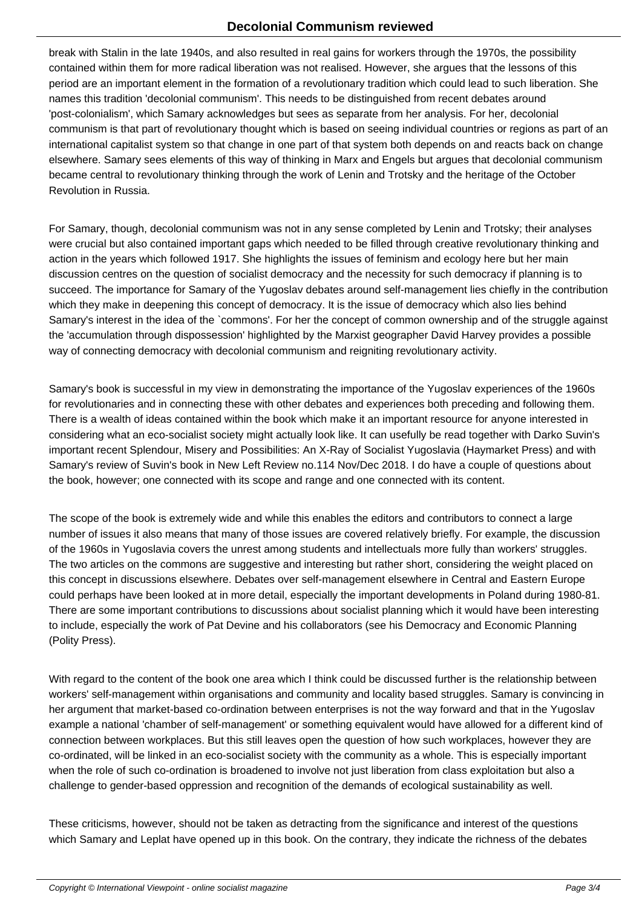break with Stalin in the late 1940s, and also resulted in real gains for workers through the 1970s, the possibility contained within them for more radical liberation was not realised. However, she argues that the lessons of this period are an important element in the formation of a revolutionary tradition which could lead to such liberation. She names this tradition 'decolonial communism'. This needs to be distinguished from recent debates around 'post-colonialism', which Samary acknowledges but sees as separate from her analysis. For her, decolonial communism is that part of revolutionary thought which is based on seeing individual countries or regions as part of an international capitalist system so that change in one part of that system both depends on and reacts back on change elsewhere. Samary sees elements of this way of thinking in Marx and Engels but argues that decolonial communism became central to revolutionary thinking through the work of Lenin and Trotsky and the heritage of the October Revolution in Russia.

For Samary, though, decolonial communism was not in any sense completed by Lenin and Trotsky; their analyses were crucial but also contained important gaps which needed to be filled through creative revolutionary thinking and action in the years which followed 1917. She highlights the issues of feminism and ecology here but her main discussion centres on the question of socialist democracy and the necessity for such democracy if planning is to succeed. The importance for Samary of the Yugoslav debates around self-management lies chiefly in the contribution which they make in deepening this concept of democracy. It is the issue of democracy which also lies behind Samary's interest in the idea of the `commons'. For her the concept of common ownership and of the struggle against the 'accumulation through dispossession' highlighted by the Marxist geographer David Harvey provides a possible way of connecting democracy with decolonial communism and reigniting revolutionary activity.

Samary's book is successful in my view in demonstrating the importance of the Yugoslav experiences of the 1960s for revolutionaries and in connecting these with other debates and experiences both preceding and following them. There is a wealth of ideas contained within the book which make it an important resource for anyone interested in considering what an eco-socialist society might actually look like. It can usefully be read together with Darko Suvin's important recent Splendour, Misery and Possibilities: An X-Ray of Socialist Yugoslavia (Haymarket Press) and with Samary's review of Suvin's book in New Left Review no.114 Nov/Dec 2018. I do have a couple of questions about the book, however; one connected with its scope and range and one connected with its content.

The scope of the book is extremely wide and while this enables the editors and contributors to connect a large number of issues it also means that many of those issues are covered relatively briefly. For example, the discussion of the 1960s in Yugoslavia covers the unrest among students and intellectuals more fully than workers' struggles. The two articles on the commons are suggestive and interesting but rather short, considering the weight placed on this concept in discussions elsewhere. Debates over self-management elsewhere in Central and Eastern Europe could perhaps have been looked at in more detail, especially the important developments in Poland during 1980-81. There are some important contributions to discussions about socialist planning which it would have been interesting to include, especially the work of Pat Devine and his collaborators (see his Democracy and Economic Planning (Polity Press).

With regard to the content of the book one area which I think could be discussed further is the relationship between workers' self-management within organisations and community and locality based struggles. Samary is convincing in her argument that market-based co-ordination between enterprises is not the way forward and that in the Yugoslav example a national 'chamber of self-management' or something equivalent would have allowed for a different kind of connection between workplaces. But this still leaves open the question of how such workplaces, however they are co-ordinated, will be linked in an eco-socialist society with the community as a whole. This is especially important when the role of such co-ordination is broadened to involve not just liberation from class exploitation but also a challenge to gender-based oppression and recognition of the demands of ecological sustainability as well.

These criticisms, however, should not be taken as detracting from the significance and interest of the questions which Samary and Leplat have opened up in this book. On the contrary, they indicate the richness of the debates